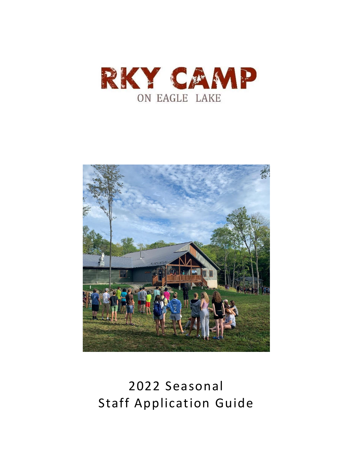



# 2022 Seasonal Staff Application Guide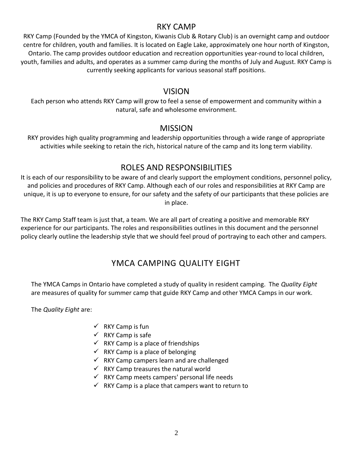# RKY CAMP

RKY Camp (Founded by the YMCA of Kingston, Kiwanis Club & Rotary Club) is an overnight camp and outdoor centre for children, youth and families. It is located on Eagle Lake, approximately one hour north of Kingston, Ontario. The camp provides outdoor education and recreation opportunities year-round to local children, youth, families and adults, and operates as a summer camp during the months of July and August. RKY Camp is currently seeking applicants for various seasonal staff positions.

# VISION

Each person who attends RKY Camp will grow to feel a sense of empowerment and community within a natural, safe and wholesome environment.

# MISSION

RKY provides high quality programming and leadership opportunities through a wide range of appropriate activities while seeking to retain the rich, historical nature of the camp and its long term viability.

# ROLES AND RESPONSIBILITIES

It is each of our responsibility to be aware of and clearly support the employment conditions, personnel policy, and policies and procedures of RKY Camp. Although each of our roles and responsibilities at RKY Camp are unique, it is up to everyone to ensure, for our safety and the safety of our participants that these policies are in place.

The RKY Camp Staff team is just that, a team. We are all part of creating a positive and memorable RKY experience for our participants. The roles and responsibilities outlines in this document and the personnel policy clearly outline the leadership style that we should feel proud of portraying to each other and campers.

# YMCA CAMPING QUALITY EIGHT

The YMCA Camps in Ontario have completed a study of quality in resident camping. The *Quality Eight* are measures of quality for summer camp that guide RKY Camp and other YMCA Camps in our work.

The *Quality Eight* are:

- $\checkmark$  RKY Camp is fun
- $\checkmark$  RKY Camp is safe
- $\checkmark$  RKY Camp is a place of friendships
- $\checkmark$  RKY Camp is a place of belonging
- $\checkmark$  RKY Camp campers learn and are challenged
- $\checkmark$  RKY Camp treasures the natural world
- $\checkmark$  RKY Camp meets campers' personal life needs
- $\checkmark$  RKY Camp is a place that campers want to return to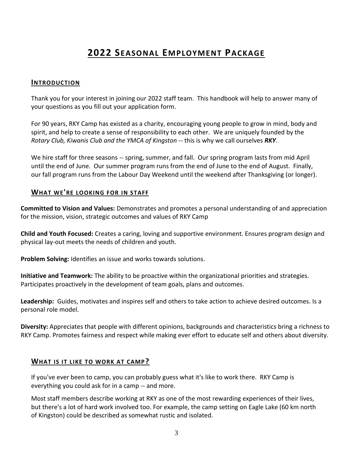# **2022 SEASONAL EMPLOYMENT PACKAGE**

#### **INTRODUCTION**

Thank you for your interest in joining our 2022 staff team. This handbook will help to answer many of your questions as you fill out your application form.

For 90 years, RKY Camp has existed as a charity, encouraging young people to grow in mind, body and spirit, and help to create a sense of responsibility to each other. We are uniquely founded by the *Rotary Club, Kiwanis Club and the YMCA of Kingston* -- this is why we call ourselves *RKY*.

We hire staff for three seasons -- spring, summer, and fall. Our spring program lasts from mid April until the end of June. Our summer program runs from the end of June to the end of August. Finally, our fall program runs from the Labour Day Weekend until the weekend after Thanksgiving (or longer).

#### **WHAT WE'RE LOOKING FOR IN STAFF**

**Committed to Vision and Values:** Demonstrates and promotes a personal understanding of and appreciation for the mission, vision, strategic outcomes and values of RKY Camp

**Child and Youth Focused:** Creates a caring, loving and supportive environment. Ensures program design and physical lay-out meets the needs of children and youth.

**Problem Solving:** Identifies an issue and works towards solutions.

**Initiative and Teamwork:** The ability to be proactive within the organizational priorities and strategies. Participates proactively in the development of team goals, plans and outcomes.

**Leadership:** Guides, motivates and inspires self and others to take action to achieve desired outcomes. Is a personal role model.

**Diversity:** Appreciates that people with different opinions, backgrounds and characteristics bring a richness to RKY Camp. Promotes fairness and respect while making ever effort to educate self and others about diversity.

#### **WHAT IS IT LIKE TO WORK AT CAMP?**

If you've ever been to camp, you can probably guess what it's like to work there. RKY Camp is everything you could ask for in a camp -- and more.

Most staff members describe working at RKY as one of the most rewarding experiences of their lives, but there's a lot of hard work involved too. For example, the camp setting on Eagle Lake (60 km north of Kingston) could be described as somewhat rustic and isolated.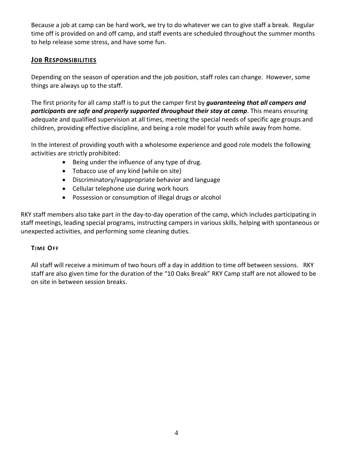Because a job at camp can be hard work, we try to do whatever we can to give staff a break. Regular time off is provided on and off camp, and staff events are scheduled throughout the summer months to help release some stress, and have some fun.

#### **JOB RESPONSIBILITIES**

Depending on the season of operation and the job position, staff roles can change. However, some things are always up to the staff.

The first priority for all camp staff is to put the camper first by *guaranteeing that all campers and participants are safe and properly supported throughout their stay at camp*. This means ensuring adequate and qualified supervision at all times, meeting the special needs of specific age groups and children, providing effective discipline, and being a role model for youth while away from home.

In the interest of providing youth with a wholesome experience and good role models the following activities are strictly prohibited:

- Being under the influence of any type of drug.
- Tobacco use of any kind (while on site)
- Discriminatory/inappropriate behavior and language
- Cellular telephone use during work hours
- Possession or consumption of illegal drugs or alcohol

RKY staff members also take part in the day-to-day operation of the camp, which includes participating in staff meetings, leading special programs, instructing campers in various skills, helping with spontaneous or unexpected activities, and performing some cleaning duties.

#### **TIME OFF**

All staff will receive a minimum of two hours off a day in addition to time off between sessions. RKY staff are also given time for the duration of the "10 Oaks Break" RKY Camp staff are not allowed to be on site in between session breaks.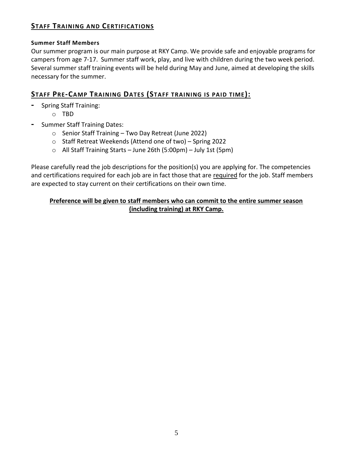# **STAFF TRAINING AND CERTIFICATIONS**

#### **Summer Staff Members**

Our summer program is our main purpose at RKY Camp. We provide safe and enjoyable programs for campers from age 7-17. Summer staff work, play, and live with children during the two week period. Several summer staff training events will be held during May and June, aimed at developing the skills necessary for the summer.

# **STAFF PRE-CAMP TRAINING DATES (STAFF TRAINING IS PAID TIME):**

- **-** Spring Staff Training:
	- o TBD
- **-** Summer Staff Training Dates:
	- o Senior Staff Training Two Day Retreat (June 2022)
	- o Staff Retreat Weekends (Attend one of two) Spring 2022
	- $\circ$  All Staff Training Starts June 26th (5:00pm) July 1st (5pm)

Please carefully read the job descriptions for the position(s) you are applying for. The competencies and certifications required for each job are in fact those that are required for the job. Staff members are expected to stay current on their certifications on their own time.

#### **Preference will be given to staff members who can commit to the entire summer season (including training) at RKY Camp.**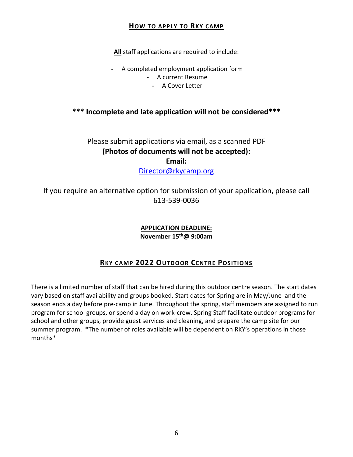#### **HOW TO APPLY TO RKY CAMP**

**All** staff applications are required to include:

- A completed employment application form - A current Resume
	- A Cover Letter

# **\*\*\* Incomplete and late application will not be considered\*\*\***

# Please submit applications via email, as a scanned PDF **(Photos of documents will not be accepted): Email:**

[Director@rkycamp.org](mailto:Director@rkycamp.org)

If you require an alternative option for submission of your application, please call 613-539-0036

> **APPLICATION DEADLINE: November 15 th@ 9:00am**

# **RKY CAMP 2022 OUTDOOR CENTRE POSITIONS**

There is a limited number of staff that can be hired during this outdoor centre season. The start dates vary based on staff availability and groups booked. Start dates for Spring are in May/June and the season ends a day before pre-camp in June. Throughout the spring, staff members are assigned to run program for school groups, or spend a day on work-crew. Spring Staff facilitate outdoor programs for school and other groups, provide guest services and cleaning, and prepare the camp site for our summer program. \*The number of roles available will be dependent on RKY's operations in those months\*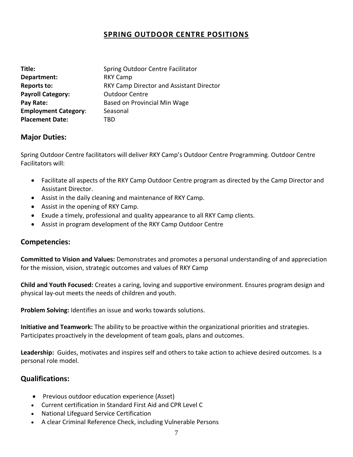# **SPRING OUTDOOR CENTRE POSITIONS**

| Title:                      | Spring Outdoor Centre Facilitator        |
|-----------------------------|------------------------------------------|
| Department:                 | <b>RKY Camp</b>                          |
| <b>Reports to:</b>          | RKY Camp Director and Assistant Director |
| <b>Payroll Category:</b>    | <b>Outdoor Centre</b>                    |
| Pay Rate:                   | Based on Provincial Min Wage             |
| <b>Employment Category:</b> | Seasonal                                 |
| <b>Placement Date:</b>      | TRD                                      |

#### **Major Duties:**

Spring Outdoor Centre facilitators will deliver RKY Camp's Outdoor Centre Programming. Outdoor Centre Facilitators will:

- Facilitate all aspects of the RKY Camp Outdoor Centre program as directed by the Camp Director and Assistant Director.
- Assist in the daily cleaning and maintenance of RKY Camp.
- Assist in the opening of RKY Camp.
- Exude a timely, professional and quality appearance to all RKY Camp clients.
- Assist in program development of the RKY Camp Outdoor Centre

#### **Competencies:**

**Committed to Vision and Values:** Demonstrates and promotes a personal understanding of and appreciation for the mission, vision, strategic outcomes and values of RKY Camp

**Child and Youth Focused:** Creates a caring, loving and supportive environment. Ensures program design and physical lay-out meets the needs of children and youth.

**Problem Solving:** Identifies an issue and works towards solutions.

**Initiative and Teamwork:** The ability to be proactive within the organizational priorities and strategies. Participates proactively in the development of team goals, plans and outcomes.

**Leadership:** Guides, motivates and inspires self and others to take action to achieve desired outcomes. Is a personal role model.

- Previous outdoor education experience (Asset)
- Current certification in Standard First Aid and CPR Level C
- National Lifeguard Service Certification
- A clear Criminal Reference Check, including Vulnerable Persons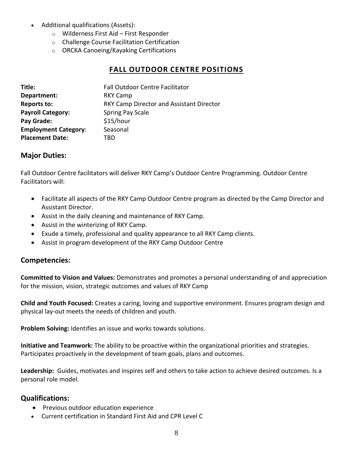- Additional qualifications (Assets):
	- o Wilderness First Aid First Responder
	- o Challenge Course Facilitation Certification
	- o ORCKA Canoeing/Kayaking Certifications

#### **FALL OUTDOOR CENTRE POSITIONS**

| Title:                      | <b>Fall Outdoor Centre Facilitator</b>          |
|-----------------------------|-------------------------------------------------|
| Department:                 | <b>RKY Camp</b>                                 |
| <b>Reports to:</b>          | <b>RKY Camp Director and Assistant Director</b> |
| <b>Payroll Category:</b>    | Spring Pay Scale                                |
| Pay Grade:                  | \$15/hour                                       |
| <b>Employment Category:</b> | Seasonal                                        |
| <b>Placement Date:</b>      | TRD                                             |

#### **Major Duties:**

Fall Outdoor Centre facilitators will deliver RKY Camp's Outdoor Centre Programming. Outdoor Centre Facilitators will:

- Facilitate all aspects of the RKY Camp Outdoor Centre program as directed by the Camp Director and Assistant Director.
- Assist in the daily cleaning and maintenance of RKY Camp.
- Assist in the winterizing of RKY Camp.
- Exude a timely, professional and quality appearance to all RKY Camp clients.
- Assist in program development of the RKY Camp Outdoor Centre

#### **Competencies:**

**Committed to Vision and Values:** Demonstrates and promotes a personal understanding of and appreciation for the mission, vision, strategic outcomes and values of RKY Camp

**Child and Youth Focused:** Creates a caring, loving and supportive environment. Ensures program design and physical lay-out meets the needs of children and youth.

**Problem Solving:** Identifies an issue and works towards solutions.

**Initiative and Teamwork:** The ability to be proactive within the organizational priorities and strategies. Participates proactively in the development of team goals, plans and outcomes.

**Leadership:** Guides, motivates and inspires self and others to take action to achieve desired outcomes. Is a personal role model.

- Previous outdoor education experience
- Current certification in Standard First Aid and CPR Level C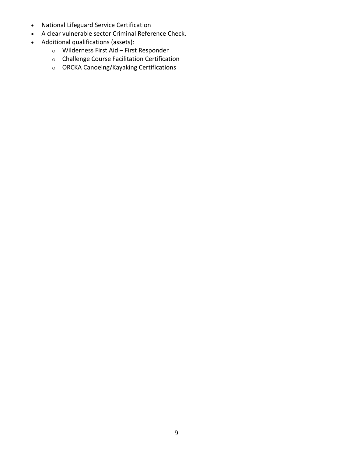- National Lifeguard Service Certification
- A clear vulnerable sector Criminal Reference Check.
- Additional qualifications (assets):
	- o Wilderness First Aid First Responder
	- o Challenge Course Facilitation Certification
	- o ORCKA Canoeing/Kayaking Certifications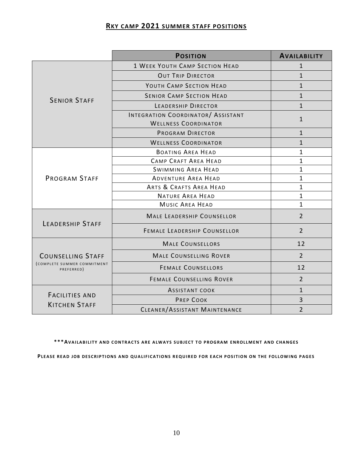#### **RKY CAMP 2021 SUMMER STAFF POSITIONS**

|                                               | <b>POSITION</b>                                                   | <b>AVAILABILITY</b> |
|-----------------------------------------------|-------------------------------------------------------------------|---------------------|
|                                               | <b>1 WEEK YOUTH CAMP SECTION HEAD</b>                             | 1                   |
|                                               | <b>OUT TRIP DIRECTOR</b>                                          | $\mathbf 1$         |
|                                               | YOUTH CAMP SECTION HEAD                                           | $\mathbf{1}$        |
| <b>SENIOR STAFF</b>                           | <b>SENIOR CAMP SECTION HEAD</b>                                   | $\mathbf{1}$        |
|                                               | LEADERSHIP DIRECTOR                                               | $\mathbf{1}$        |
|                                               | INTEGRATION COORDINATOR/ ASSISTANT<br><b>WELLNESS COORDINATOR</b> | 1                   |
|                                               | <b>PROGRAM DIRECTOR</b>                                           | $\mathbf{1}$        |
|                                               | <b>WELLNESS COORDINATOR</b>                                       | $\mathbf{1}$        |
|                                               | <b>BOATING AREA HEAD</b>                                          | 1                   |
|                                               | CAMP CRAFT AREA HEAD                                              | 1                   |
|                                               | <b>SWIMMING AREA HEAD</b>                                         | 1                   |
| <b>PROGRAM STAFF</b>                          | <b>ADVENTURE AREA HEAD</b>                                        | $\mathbf{1}$        |
|                                               | ARTS & CRAFTS AREA HEAD                                           | 1                   |
|                                               | <b>NATURE AREA HEAD</b>                                           | 1                   |
|                                               | <b>MUSIC AREA HEAD</b>                                            | 1                   |
| <b>LEADERSHIP STAFF</b>                       | <b>MALE LEADERSHIP COUNSELLOR</b>                                 | $\overline{2}$      |
|                                               | <b>FEMALE LEADERSHIP COUNSELLOR</b>                               | $\overline{2}$      |
|                                               | <b>MALE COUNSELLORS</b>                                           | 12                  |
| <b>COUNSELLING STAFF</b>                      | <b>MALE COUNSELLING ROVER</b>                                     | $\overline{2}$      |
| (COMPLETE SUMMER COMMITMENT<br>PREFERRED)     | <b>FEMALE COUNSELLORS</b>                                         | 12                  |
|                                               | <b>FEMALE COUNSELLING ROVER</b>                                   | $\overline{2}$      |
|                                               | <b>ASSISTANT COOK</b>                                             | 1                   |
| <b>FACILITIES AND</b><br><b>KITCHEN STAFF</b> | <b>PREP COOK</b>                                                  | 3                   |
|                                               | CLEANER/ASSISTANT MAINTENANCE                                     | $\overline{2}$      |

\*\*\*AVAILABILITY AND CONTRACTS ARE ALWAYS SUBJECT TO PROGRAM ENROLLMENT AND CHANGES

PLEASE READ JOB DESCRIPTIONS AND QUALIFICATIONS REQUIRED FOR EACH POSITION ON THE FOLLOWING PAGES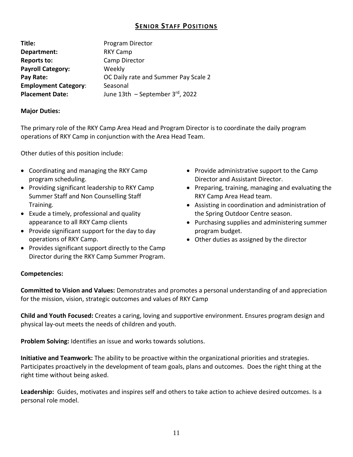#### **SENIOR STAFF POSITIONS**

| Title:                      | Program Director                     |
|-----------------------------|--------------------------------------|
| Department:                 | <b>RKY Camp</b>                      |
| <b>Reports to:</b>          | Camp Director                        |
| <b>Payroll Category:</b>    | Weekly                               |
| Pay Rate:                   | OC Daily rate and Summer Pay Scale 2 |
| <b>Employment Category:</b> | Seasonal                             |
| <b>Placement Date:</b>      | June 13th $-$ September 3rd, 2022    |

#### **Major Duties:**

The primary role of the RKY Camp Area Head and Program Director is to coordinate the daily program operations of RKY Camp in conjunction with the Area Head Team.

Other duties of this position include:

- Coordinating and managing the RKY Camp program scheduling.
- Providing significant leadership to RKY Camp Summer Staff and Non Counselling Staff Training.
- Exude a timely, professional and quality appearance to all RKY Camp clients
- Provide significant support for the day to day operations of RKY Camp.
- Provides significant support directly to the Camp Director during the RKY Camp Summer Program.
- Provide administrative support to the Camp Director and Assistant Director.
- Preparing, training, managing and evaluating the RKY Camp Area Head team.
- Assisting in coordination and administration of the Spring Outdoor Centre season.
- Purchasing supplies and administering summer program budget.
- Other duties as assigned by the director

#### **Competencies:**

**Committed to Vision and Values:** Demonstrates and promotes a personal understanding of and appreciation for the mission, vision, strategic outcomes and values of RKY Camp

**Child and Youth Focused:** Creates a caring, loving and supportive environment. Ensures program design and physical lay-out meets the needs of children and youth.

**Problem Solving:** Identifies an issue and works towards solutions.

**Initiative and Teamwork:** The ability to be proactive within the organizational priorities and strategies. Participates proactively in the development of team goals, plans and outcomes. Does the right thing at the right time without being asked.

**Leadership:** Guides, motivates and inspires self and others to take action to achieve desired outcomes. Is a personal role model.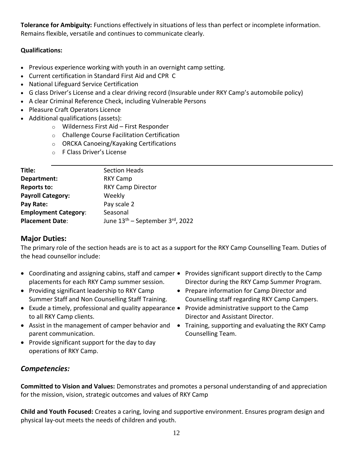**Tolerance for Ambiguity:** Functions effectively in situations of less than perfect or incomplete information. Remains flexible, versatile and continues to communicate clearly.

#### **Qualifications:**

- Previous experience working with youth in an overnight camp setting.
- Current certification in Standard First Aid and CPR C
- National Lifeguard Service Certification
- G class Driver's License and a clear driving record (Insurable under RKY Camp's automobile policy)
- A clear Criminal Reference Check, including Vulnerable Persons
- Pleasure Craft Operators Licence
- Additional qualifications (assets):
	- o Wilderness First Aid First Responder
	- o Challenge Course Facilitation Certification
	- o ORCKA Canoeing/Kayaking Certifications
	- o F Class Driver's License

| Title:                      | <b>Section Heads</b>                        |
|-----------------------------|---------------------------------------------|
| Department:                 | <b>RKY Camp</b>                             |
| <b>Reports to:</b>          | <b>RKY Camp Director</b>                    |
| <b>Payroll Category:</b>    | Weekly                                      |
| Pay Rate:                   | Pay scale 2                                 |
| <b>Employment Category:</b> | Seasonal                                    |
| <b>Placement Date:</b>      | June 13 <sup>th</sup> – September 3rd, 2022 |
|                             |                                             |

#### **Major Duties:**

The primary role of the section heads are is to act as a support for the RKY Camp Counselling Team. Duties of the head counsellor include:

- Coordinating and assigning cabins, staff and camper Provides significant support directly to the Camp placements for each RKY Camp summer session.
- Providing significant leadership to RKY Camp Summer Staff and Non Counselling Staff Training.
- Exude a timely, professional and quality appearance Provide administrative support to the Camp to all RKY Camp clients.
- Assist in the management of camper behavior and Training, supporting and evaluating the RKY Camp parent communication.
- Provide significant support for the day to day operations of RKY Camp.
- Director during the RKY Camp Summer Program.
- Prepare information for Camp Director and Counselling staff regarding RKY Camp Campers.
- Director and Assistant Director.
- Counselling Team.

# *Competencies:*

**Committed to Vision and Values:** Demonstrates and promotes a personal understanding of and appreciation for the mission, vision, strategic outcomes and values of RKY Camp

**Child and Youth Focused:** Creates a caring, loving and supportive environment. Ensures program design and physical lay-out meets the needs of children and youth.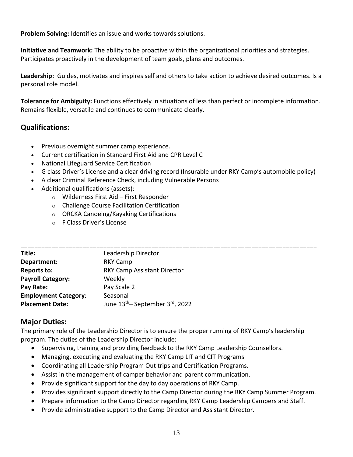**Problem Solving:** Identifies an issue and works towards solutions.

**Initiative and Teamwork:** The ability to be proactive within the organizational priorities and strategies. Participates proactively in the development of team goals, plans and outcomes.

**Leadership:** Guides, motivates and inspires self and others to take action to achieve desired outcomes. Is a personal role model.

**Tolerance for Ambiguity:** Functions effectively in situations of less than perfect or incomplete information. Remains flexible, versatile and continues to communicate clearly.

# **Qualifications:**

- Previous overnight summer camp experience.
- Current certification in Standard First Aid and CPR Level C
- National Lifeguard Service Certification
- G class Driver's License and a clear driving record (Insurable under RKY Camp's automobile policy)
- A clear Criminal Reference Check, including Vulnerable Persons
- Additional qualifications (assets):
	- o Wilderness First Aid First Responder
	- o Challenge Course Facilitation Certification
	- o ORCKA Canoeing/Kayaking Certifications
	- o F Class Driver's License

| Title:                      | Leadership Director                                      |
|-----------------------------|----------------------------------------------------------|
| Department:                 | <b>RKY Camp</b>                                          |
| Reports to:                 | <b>RKY Camp Assistant Director</b>                       |
| <b>Payroll Category:</b>    | Weekly                                                   |
| Pay Rate:                   | Pay Scale 2                                              |
| <b>Employment Category:</b> | Seasonal                                                 |
| <b>Placement Date:</b>      | June 13 <sup>th</sup> – September 3 <sup>rd</sup> , 2022 |

# **Major Duties:**

The primary role of the Leadership Director is to ensure the proper running of RKY Camp's leadership program. The duties of the Leadership Director include:

- Supervising, training and providing feedback to the RKY Camp Leadership Counsellors.
- Managing, executing and evaluating the RKY Camp LIT and CIT Programs
- Coordinating all Leadership Program Out trips and Certification Programs.
- Assist in the management of camper behavior and parent communication.
- Provide significant support for the day to day operations of RKY Camp.
- Provides significant support directly to the Camp Director during the RKY Camp Summer Program.
- Prepare information to the Camp Director regarding RKY Camp Leadership Campers and Staff.
- Provide administrative support to the Camp Director and Assistant Director.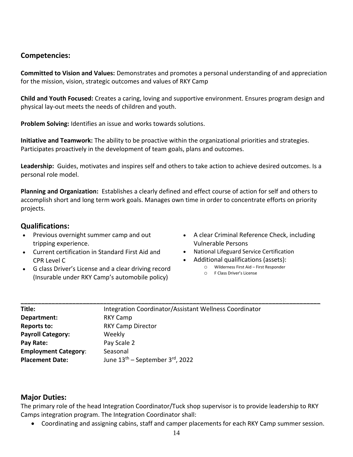#### **Competencies:**

**Committed to Vision and Values:** Demonstrates and promotes a personal understanding of and appreciation for the mission, vision, strategic outcomes and values of RKY Camp

**Child and Youth Focused:** Creates a caring, loving and supportive environment. Ensures program design and physical lay-out meets the needs of children and youth.

**Problem Solving:** Identifies an issue and works towards solutions.

**Initiative and Teamwork:** The ability to be proactive within the organizational priorities and strategies. Participates proactively in the development of team goals, plans and outcomes.

**Leadership:** Guides, motivates and inspires self and others to take action to achieve desired outcomes. Is a personal role model.

**Planning and Organization:** Establishes a clearly defined and effect course of action for self and others to accomplish short and long term work goals. Manages own time in order to concentrate efforts on priority projects.

**\_\_\_\_\_\_\_\_\_\_\_\_\_\_\_\_\_\_\_\_\_\_\_\_\_\_\_\_\_\_\_\_\_\_\_\_\_\_\_\_\_\_\_\_\_\_\_\_\_\_\_\_\_\_\_\_\_\_\_\_\_\_\_\_\_\_\_\_\_\_\_\_\_\_\_\_\_\_\_\_\_\_\_\_\_\_\_**

#### **Qualifications:**

- Previous overnight summer camp and out tripping experience.
- Current certification in Standard First Aid and CPR Level C
- G class Driver's License and a clear driving record (Insurable under RKY Camp's automobile policy)
- A clear Criminal Reference Check, including Vulnerable Persons
- National Lifeguard Service Certification
- Additional qualifications (assets):
	- o Wilderness First Aid First Responder
	- o F Class Driver's License

| Title:                      | Integration Coordinator/Assistant Wellness Coordinator |
|-----------------------------|--------------------------------------------------------|
| Department:                 | <b>RKY Camp</b>                                        |
| <b>Reports to:</b>          | <b>RKY Camp Director</b>                               |
| <b>Payroll Category:</b>    | Weekly                                                 |
| Pay Rate:                   | Pay Scale 2                                            |
| <b>Employment Category:</b> | Seasonal                                               |
| <b>Placement Date:</b>      | June $13th$ – September 3 <sup>rd</sup> , 2022         |

#### **Major Duties:**

The primary role of the head Integration Coordinator/Tuck shop supervisor is to provide leadership to RKY Camps integration program. The Integration Coordinator shall:

• Coordinating and assigning cabins, staff and camper placements for each RKY Camp summer session.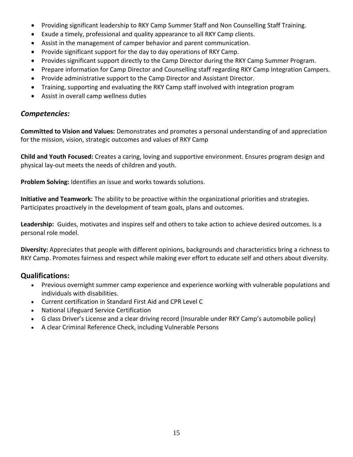- Providing significant leadership to RKY Camp Summer Staff and Non Counselling Staff Training.
- Exude a timely, professional and quality appearance to all RKY Camp clients.
- Assist in the management of camper behavior and parent communication.
- Provide significant support for the day to day operations of RKY Camp.
- Provides significant support directly to the Camp Director during the RKY Camp Summer Program.
- Prepare information for Camp Director and Counselling staff regarding RKY Camp Integration Campers.
- Provide administrative support to the Camp Director and Assistant Director.
- Training, supporting and evaluating the RKY Camp staff involved with integration program
- Assist in overall camp wellness duties

#### *Competencies:*

**Committed to Vision and Values:** Demonstrates and promotes a personal understanding of and appreciation for the mission, vision, strategic outcomes and values of RKY Camp

**Child and Youth Focused:** Creates a caring, loving and supportive environment. Ensures program design and physical lay-out meets the needs of children and youth.

**Problem Solving:** Identifies an issue and works towards solutions.

**Initiative and Teamwork:** The ability to be proactive within the organizational priorities and strategies. Participates proactively in the development of team goals, plans and outcomes.

**Leadership:** Guides, motivates and inspires self and others to take action to achieve desired outcomes. Is a personal role model.

**Diversity:** Appreciates that people with different opinions, backgrounds and characteristics bring a richness to RKY Camp. Promotes fairness and respect while making ever effort to educate self and others about diversity.

- Previous overnight summer camp experience and experience working with vulnerable populations and individuals with disabilities.
- Current certification in Standard First Aid and CPR Level C
- National Lifeguard Service Certification
- G class Driver's License and a clear driving record (Insurable under RKY Camp's automobile policy)
- A clear Criminal Reference Check, including Vulnerable Persons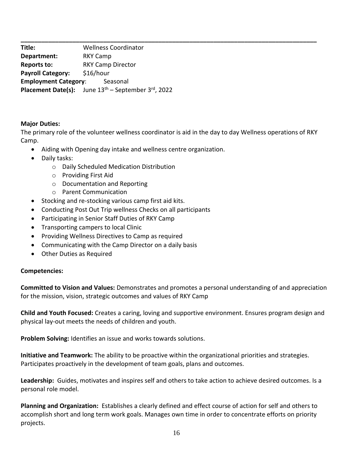**\_\_\_\_\_\_\_\_\_\_\_\_\_\_\_\_\_\_\_\_\_\_\_\_\_\_\_\_\_\_\_\_\_\_\_\_\_\_\_\_\_\_\_\_\_\_\_\_\_\_\_\_\_\_\_\_\_\_\_\_\_\_\_\_\_\_\_\_\_\_\_\_\_\_\_\_\_\_\_\_\_\_\_\_\_\_ Title:** Wellness Coordinator **Department:** RKY Camp **Reports to:** RKY Camp Director **Payroll Category:** \$16/hour **Employment Category:** Seasonal Placement Date(s): June 13<sup>th</sup> – September 3rd, 2022

#### **Major Duties:**

The primary role of the volunteer wellness coordinator is aid in the day to day Wellness operations of RKY Camp.

- Aiding with Opening day intake and wellness centre organization.
- Daily tasks:
	- o Daily Scheduled Medication Distribution
	- o Providing First Aid
	- o Documentation and Reporting
	- o Parent Communication
- Stocking and re-stocking various camp first aid kits.
- Conducting Post Out Trip wellness Checks on all participants
- Participating in Senior Staff Duties of RKY Camp
- Transporting campers to local Clinic
- Providing Wellness Directives to Camp as required
- Communicating with the Camp Director on a daily basis
- Other Duties as Required

#### **Competencies:**

**Committed to Vision and Values:** Demonstrates and promotes a personal understanding of and appreciation for the mission, vision, strategic outcomes and values of RKY Camp

**Child and Youth Focused:** Creates a caring, loving and supportive environment. Ensures program design and physical lay-out meets the needs of children and youth.

**Problem Solving:** Identifies an issue and works towards solutions.

**Initiative and Teamwork:** The ability to be proactive within the organizational priorities and strategies. Participates proactively in the development of team goals, plans and outcomes.

**Leadership:** Guides, motivates and inspires self and others to take action to achieve desired outcomes. Is a personal role model.

**Planning and Organization:** Establishes a clearly defined and effect course of action for self and others to accomplish short and long term work goals. Manages own time in order to concentrate efforts on priority projects.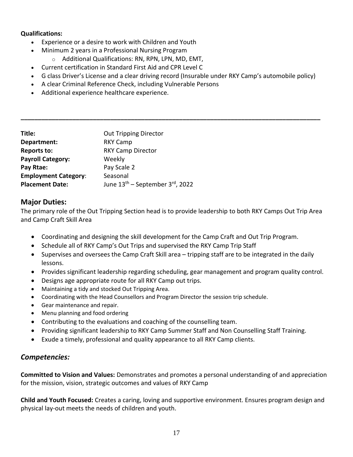#### **Qualifications:**

- Experience or a desire to work with Children and Youth
- Minimum 2 years in a Professional Nursing Program
	- o Additional Qualifications: RN, RPN, LPN, MD, EMT,
- Current certification in Standard First Aid and CPR Level C
- G class Driver's License and a clear driving record (Insurable under RKY Camp's automobile policy)

**\_\_\_\_\_\_\_\_\_\_\_\_\_\_\_\_\_\_\_\_\_\_\_\_\_\_\_\_\_\_\_\_\_\_\_\_\_\_\_\_\_\_\_\_\_\_\_\_\_\_\_\_\_\_\_\_\_\_\_\_\_\_\_\_\_\_\_\_\_\_\_\_\_\_\_\_\_\_\_\_\_\_\_\_\_\_\_**

- A clear Criminal Reference Check, including Vulnerable Persons
- Additional experience healthcare experience.

| Title:                      | <b>Out Tripping Director</b>                |
|-----------------------------|---------------------------------------------|
| Department:                 | <b>RKY Camp</b>                             |
| Reports to:                 | <b>RKY Camp Director</b>                    |
| <b>Payroll Category:</b>    | Weekly                                      |
| Pay Rtae:                   | Pay Scale 2                                 |
| <b>Employment Category:</b> | Seasonal                                    |
| <b>Placement Date:</b>      | June 13 <sup>th</sup> – September 3rd, 2022 |

#### **Major Duties:**

The primary role of the Out Tripping Section head is to provide leadership to both RKY Camps Out Trip Area and Camp Craft Skill Area

- Coordinating and designing the skill development for the Camp Craft and Out Trip Program.
- Schedule all of RKY Camp's Out Trips and supervised the RKY Camp Trip Staff
- Supervises and oversees the Camp Craft Skill area tripping staff are to be integrated in the daily lessons.
- Provides significant leadership regarding scheduling, gear management and program quality control.
- Designs age appropriate route for all RKY Camp out trips.
- Maintaining a tidy and stocked Out Tripping Area.
- Coordinating with the Head Counsellors and Program Director the session trip schedule.
- Gear maintenance and repair.
- Menu planning and food ordering
- Contributing to the evaluations and coaching of the counselling team.
- Providing significant leadership to RKY Camp Summer Staff and Non Counselling Staff Training.
- Exude a timely, professional and quality appearance to all RKY Camp clients.

#### *Competencies:*

**Committed to Vision and Values:** Demonstrates and promotes a personal understanding of and appreciation for the mission, vision, strategic outcomes and values of RKY Camp

**Child and Youth Focused:** Creates a caring, loving and supportive environment. Ensures program design and physical lay-out meets the needs of children and youth.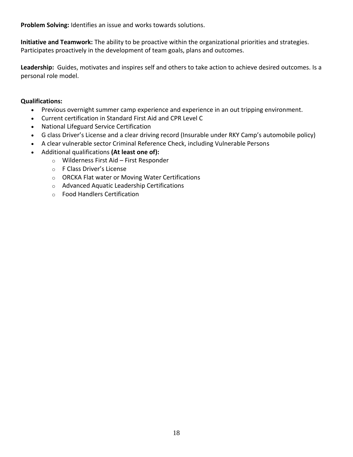**Problem Solving:** Identifies an issue and works towards solutions.

**Initiative and Teamwork:** The ability to be proactive within the organizational priorities and strategies. Participates proactively in the development of team goals, plans and outcomes.

**Leadership:** Guides, motivates and inspires self and others to take action to achieve desired outcomes. Is a personal role model.

- Previous overnight summer camp experience and experience in an out tripping environment.
- Current certification in Standard First Aid and CPR Level C
- National Lifeguard Service Certification
- G class Driver's License and a clear driving record (Insurable under RKY Camp's automobile policy)
- A clear vulnerable sector Criminal Reference Check, including Vulnerable Persons
- Additional qualifications **(At least one of):**
	- o Wilderness First Aid First Responder
	- o F Class Driver's License
	- o ORCKA Flat water or Moving Water Certifications
	- o Advanced Aquatic Leadership Certifications
	- o Food Handlers Certification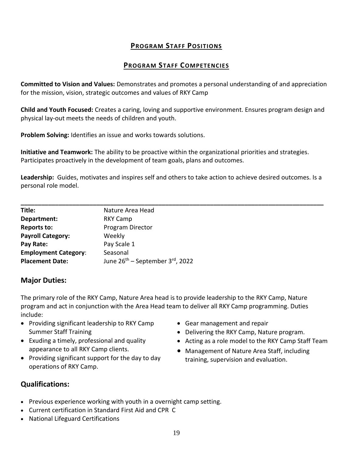#### **PROGRAM STAFF POSITIONS**

#### **PROGRAM STAFF COMPETENCIES**

**Committed to Vision and Values:** Demonstrates and promotes a personal understanding of and appreciation for the mission, vision, strategic outcomes and values of RKY Camp

**Child and Youth Focused:** Creates a caring, loving and supportive environment. Ensures program design and physical lay-out meets the needs of children and youth.

**Problem Solving:** Identifies an issue and works towards solutions.

**Initiative and Teamwork:** The ability to be proactive within the organizational priorities and strategies. Participates proactively in the development of team goals, plans and outcomes.

**Leadership:** Guides, motivates and inspires self and others to take action to achieve desired outcomes. Is a personal role model.

| Title:                      | Nature Area Head                            |
|-----------------------------|---------------------------------------------|
| Department:                 | <b>RKY Camp</b>                             |
| <b>Reports to:</b>          | Program Director                            |
| <b>Payroll Category:</b>    | Weekly                                      |
| Pay Rate:                   | Pay Scale 1                                 |
| <b>Employment Category:</b> | Seasonal                                    |
| <b>Placement Date:</b>      | June 26 <sup>th</sup> – September 3rd, 2022 |

#### **Major Duties:**

The primary role of the RKY Camp, Nature Area head is to provide leadership to the RKY Camp, Nature program and act in conjunction with the Area Head team to deliver all RKY Camp programming. Duties include:

- Providing significant leadership to RKY Camp Summer Staff Training
- Exuding a timely, professional and quality appearance to all RKY Camp clients.
- Providing significant support for the day to day operations of RKY Camp.
- Gear management and repair
- Delivering the RKY Camp, Nature program.
- Acting as a role model to the RKY Camp Staff Team
- Management of Nature Area Staff, including training, supervision and evaluation.

- Previous experience working with youth in a overnight camp setting.
- Current certification in Standard First Aid and CPR C
- National Lifeguard Certifications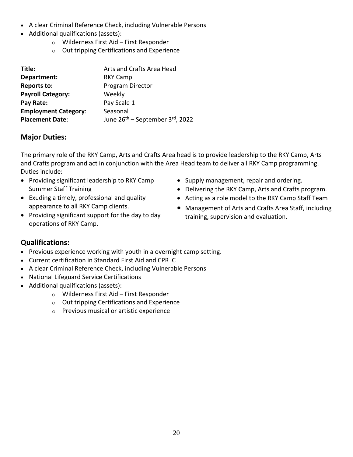- A clear Criminal Reference Check, including Vulnerable Persons
- Additional qualifications (assets):
	- o Wilderness First Aid First Responder
	- o Out tripping Certifications and Experience

| Title:                      | Arts and Crafts Area Head                   |
|-----------------------------|---------------------------------------------|
| Department:                 | <b>RKY Camp</b>                             |
| <b>Reports to:</b>          | Program Director                            |
| <b>Payroll Category:</b>    | Weekly                                      |
| Pay Rate:                   | Pay Scale 1                                 |
| <b>Employment Category:</b> | Seasonal                                    |
| <b>Placement Date:</b>      | June 26 <sup>th</sup> – September 3rd, 2022 |
|                             |                                             |

The primary role of the RKY Camp, Arts and Crafts Area head is to provide leadership to the RKY Camp, Arts and Crafts program and act in conjunction with the Area Head team to deliver all RKY Camp programming. Duties include:

- Providing significant leadership to RKY Camp Summer Staff Training
- Exuding a timely, professional and quality appearance to all RKY Camp clients.
- Providing significant support for the day to day operations of RKY Camp.
- Supply management, repair and ordering.
- Delivering the RKY Camp, Arts and Crafts program.
- Acting as a role model to the RKY Camp Staff Team
- Management of Arts and Crafts Area Staff, including training, supervision and evaluation.

- Previous experience working with youth in a overnight camp setting.
- Current certification in Standard First Aid and CPR C
- A clear Criminal Reference Check, including Vulnerable Persons
- National Lifeguard Service Certifications
- Additional qualifications (assets):
	- o Wilderness First Aid First Responder
	- o Out tripping Certifications and Experience
	- o Previous musical or artistic experience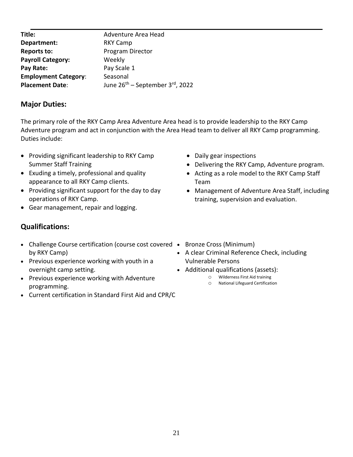| Title:                      | Adventure Area Head                         |
|-----------------------------|---------------------------------------------|
| Department:                 | <b>RKY Camp</b>                             |
| Reports to:                 | Program Director                            |
| <b>Payroll Category:</b>    | Weekly                                      |
| Pay Rate:                   | Pay Scale 1                                 |
| <b>Employment Category:</b> | Seasonal                                    |
| <b>Placement Date:</b>      | June 26 <sup>th</sup> – September 3rd, 2022 |
|                             |                                             |

The primary role of the RKY Camp Area Adventure Area head is to provide leadership to the RKY Camp Adventure program and act in conjunction with the Area Head team to deliver all RKY Camp programming. Duties include:

- Providing significant leadership to RKY Camp Summer Staff Training
- Exuding a timely, professional and quality appearance to all RKY Camp clients.
- Providing significant support for the day to day operations of RKY Camp.
- Gear management, repair and logging.

- Challenge Course certification (course cost covered Bronze Cross (Minimum) by RKY Camp)
- Previous experience working with youth in a overnight camp setting.
- Previous experience working with Adventure programming.
- Current certification in Standard First Aid and CPR/C
- Daily gear inspections
- Delivering the RKY Camp, Adventure program.
- Acting as a role model to the RKY Camp Staff Team
- Management of Adventure Area Staff, including training, supervision and evaluation.
- 
- A clear Criminal Reference Check, including Vulnerable Persons
- Additional qualifications (assets):
	- o Wilderness First Aid training
	- o National Lifeguard Certification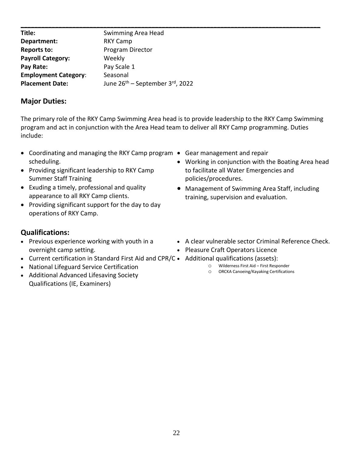| Title:                      | Swimming Area Head                                |
|-----------------------------|---------------------------------------------------|
| Department:                 | <b>RKY Camp</b>                                   |
| <b>Reports to:</b>          | Program Director                                  |
| <b>Payroll Category:</b>    | Weekly                                            |
| Pay Rate:                   | Pay Scale 1                                       |
| <b>Employment Category:</b> | Seasonal                                          |
| <b>Placement Date:</b>      | June $26^{th}$ – September 3 <sup>rd</sup> , 2022 |

The primary role of the RKY Camp Swimming Area head is to provide leadership to the RKY Camp Swimming program and act in conjunction with the Area Head team to deliver all RKY Camp programming. Duties include:

- Coordinating and managing the RKY Camp program Gear management and repair scheduling.
- Providing significant leadership to RKY Camp Summer Staff Training
- Exuding a timely, professional and quality appearance to all RKY Camp clients.
- Providing significant support for the day to day operations of RKY Camp.
- 
- Working in conjunction with the Boating Area head to facilitate all Water Emergencies and policies/procedures.
- Management of Swimming Area Staff, including training, supervision and evaluation.

- Previous experience working with youth in a overnight camp setting.
- Current certification in Standard First Aid and CPR/C Additional qualifications (assets):
- National Lifeguard Service Certification
- Additional Advanced Lifesaving Society Qualifications (IE, Examiners)
- A clear vulnerable sector Criminal Reference Check.
- Pleasure Craft Operators Licence
- - o Wilderness First Aid First Responder
	- o ORCKA Canoeing/Kayaking Certifications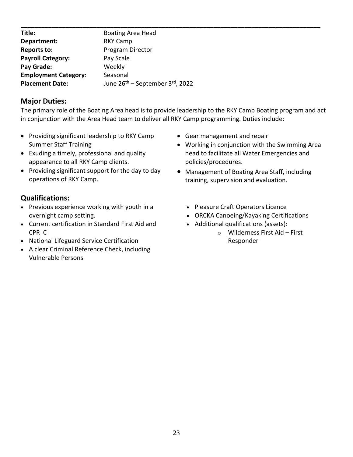| Title:                      | Boating Area Head                                 |  |
|-----------------------------|---------------------------------------------------|--|
| Department:                 | <b>RKY Camp</b>                                   |  |
| <b>Reports to:</b>          | Program Director                                  |  |
| <b>Payroll Category:</b>    | Pay Scale                                         |  |
| Pay Grade:                  | Weekly                                            |  |
| <b>Employment Category:</b> | Seasonal                                          |  |
| <b>Placement Date:</b>      | June $26^{th}$ – September 3 <sup>rd</sup> , 2022 |  |

The primary role of the Boating Area head is to provide leadership to the RKY Camp Boating program and act in conjunction with the Area Head team to deliver all RKY Camp programming. Duties include:

- Providing significant leadership to RKY Camp Summer Staff Training
- Exuding a timely, professional and quality appearance to all RKY Camp clients.
- Providing significant support for the day to day operations of RKY Camp.

- Previous experience working with youth in a overnight camp setting.
- Current certification in Standard First Aid and CPR C
- National Lifeguard Service Certification
- A clear Criminal Reference Check, including Vulnerable Persons
- Gear management and repair
- Working in conjunction with the Swimming Area head to facilitate all Water Emergencies and policies/procedures.
- Management of Boating Area Staff, including training, supervision and evaluation.
	- Pleasure Craft Operators Licence
	- ORCKA Canoeing/Kayaking Certifications
	- Additional qualifications (assets):
		- o Wilderness First Aid First Responder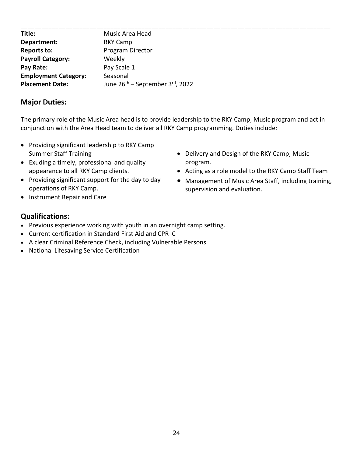| Title:                      | Music Area Head                                   |
|-----------------------------|---------------------------------------------------|
| Department:                 | RKY Camp                                          |
| <b>Reports to:</b>          | Program Director                                  |
| <b>Payroll Category:</b>    | Weekly                                            |
| Pay Rate:                   | Pay Scale 1                                       |
| <b>Employment Category:</b> | Seasonal                                          |
| <b>Placement Date:</b>      | June $26^{th}$ – September 3 <sup>rd</sup> , 2022 |

The primary role of the Music Area head is to provide leadership to the RKY Camp, Music program and act in conjunction with the Area Head team to deliver all RKY Camp programming. Duties include:

- Providing significant leadership to RKY Camp Summer Staff Training
- Exuding a timely, professional and quality appearance to all RKY Camp clients.
- Providing significant support for the day to day operations of RKY Camp.
- Delivery and Design of the RKY Camp, Music program.
- Acting as a role model to the RKY Camp Staff Team
- Management of Music Area Staff, including training, supervision and evaluation.

• Instrument Repair and Care

- Previous experience working with youth in an overnight camp setting.
- Current certification in Standard First Aid and CPR C
- A clear Criminal Reference Check, including Vulnerable Persons
- National Lifesaving Service Certification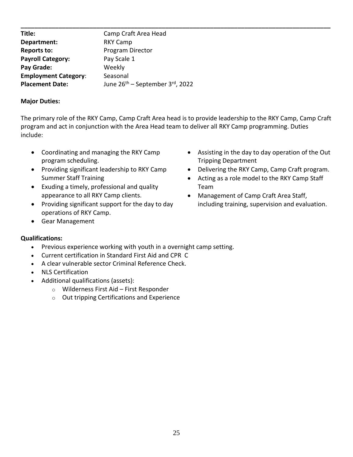| Title:                      | Camp Craft Area Head                              |
|-----------------------------|---------------------------------------------------|
| Department:                 | RKY Camp                                          |
| <b>Reports to:</b>          | Program Director                                  |
| <b>Payroll Category:</b>    | Pay Scale 1                                       |
| Pay Grade:                  | Weekly                                            |
| <b>Employment Category:</b> | Seasonal                                          |
| <b>Placement Date:</b>      | June $26^{th}$ – September 3 <sup>rd</sup> , 2022 |

The primary role of the RKY Camp, Camp Craft Area head is to provide leadership to the RKY Camp, Camp Craft program and act in conjunction with the Area Head team to deliver all RKY Camp programming. Duties include:

- Coordinating and managing the RKY Camp program scheduling.
- Providing significant leadership to RKY Camp Summer Staff Training
- Exuding a timely, professional and quality appearance to all RKY Camp clients.
- Providing significant support for the day to day operations of RKY Camp.
- Gear Management
- Assisting in the day to day operation of the Out Tripping Department
- Delivering the RKY Camp, Camp Craft program.
- Acting as a role model to the RKY Camp Staff Team
- Management of Camp Craft Area Staff, including training, supervision and evaluation.

- Previous experience working with youth in a overnight camp setting.
- Current certification in Standard First Aid and CPR C
- A clear vulnerable sector Criminal Reference Check.
- NLS Certification
- Additional qualifications (assets):
	- o Wilderness First Aid First Responder
	- $\circ$  Out tripping Certifications and Experience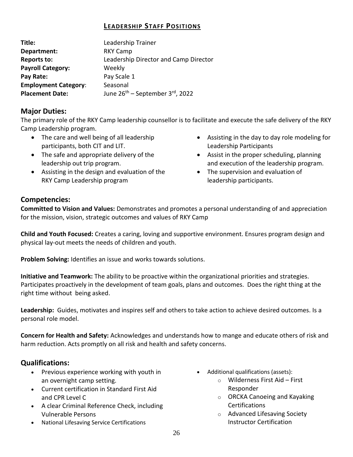# **LEADERSHIP STAFF POSITIONS**

| Title:                      | Leadership Trainer                          |
|-----------------------------|---------------------------------------------|
| Department:                 | <b>RKY Camp</b>                             |
| Reports to:                 | Leadership Director and Camp Director       |
| <b>Payroll Category:</b>    | Weekly                                      |
| Pay Rate:                   | Pay Scale 1                                 |
| <b>Employment Category:</b> | Seasonal                                    |
| <b>Placement Date:</b>      | June 26 <sup>th</sup> – September 3rd, 2022 |

#### **Major Duties:**

The primary role of the RKY Camp leadership counsellor is to facilitate and execute the safe delivery of the RKY Camp Leadership program.

- The care and well being of all leadership participants, both CIT and LIT.
- The safe and appropriate delivery of the leadership out trip program.
- Assisting in the design and evaluation of the RKY Camp Leadership program
- Assisting in the day to day role modeling for Leadership Participants
- Assist in the proper scheduling, planning and execution of the leadership program.
- The supervision and evaluation of leadership participants.

# **Competencies:**

**Committed to Vision and Values:** Demonstrates and promotes a personal understanding of and appreciation for the mission, vision, strategic outcomes and values of RKY Camp

**Child and Youth Focused:** Creates a caring, loving and supportive environment. Ensures program design and physical lay-out meets the needs of children and youth.

**Problem Solving:** Identifies an issue and works towards solutions.

**Initiative and Teamwork:** The ability to be proactive within the organizational priorities and strategies. Participates proactively in the development of team goals, plans and outcomes. Does the right thing at the right time without being asked.

**Leadership:** Guides, motivates and inspires self and others to take action to achieve desired outcomes. Is a personal role model.

**Concern for Health and Safety:** Acknowledges and understands how to mange and educate others of risk and harm reduction. Acts promptly on all risk and health and safety concerns.

- Previous experience working with youth in an overnight camp setting.
- Current certification in Standard First Aid and CPR Level C
- A clear Criminal Reference Check, including Vulnerable Persons
- National Lifesaving Service Certifications
- Additional qualifications (assets):
	- o Wilderness First Aid First Responder
	- o ORCKA Canoeing and Kayaking **Certifications**
	- o Advanced Lifesaving Society Instructor Certification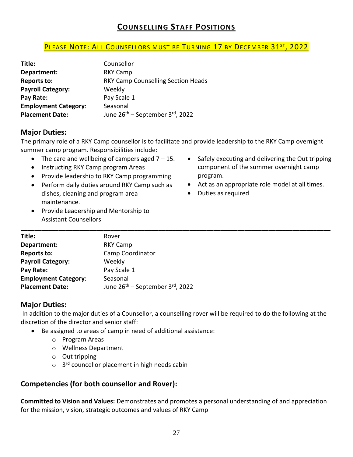# **COUNSELLING STAFF POSITIONS**

#### <u>PLEASE NOTE: ALL COUNSELLORS MUST BE TURNING 17 BY DECEMBER 31<sup>st</sup>, 2022</u>

| Title:                      | Counsellor                                               |
|-----------------------------|----------------------------------------------------------|
| Department:                 | <b>RKY Camp</b>                                          |
| <b>Reports to:</b>          | <b>RKY Camp Counselling Section Heads</b>                |
| <b>Payroll Category:</b>    | Weekly                                                   |
| Pay Rate:                   | Pay Scale 1                                              |
| <b>Employment Category:</b> | Seasonal                                                 |
| <b>Placement Date:</b>      | June 26 <sup>th</sup> – September 3 <sup>rd</sup> , 2022 |

#### **Major Duties:**

The primary role of a RKY Camp counsellor is to facilitate and provide leadership to the RKY Camp overnight summer camp program. Responsibilities include:

- The care and wellbeing of campers aged  $7 15$ .
- Instructing RKY Camp program Areas
- Provide leadership to RKY Camp programming
- Perform daily duties around RKY Camp such as dishes, cleaning and program area maintenance.
- Provide Leadership and Mentorship to Assistant Counsellors
- Safely executing and delivering the Out tripping component of the summer overnight camp program.
- Act as an appropriate role model at all times.
- Duties as required

| Title:                      | Rover                                       |
|-----------------------------|---------------------------------------------|
| Department:                 | RKY Camp                                    |
| <b>Reports to:</b>          | Camp Coordinator                            |
| <b>Payroll Category:</b>    | Weekly                                      |
| Pay Rate:                   | Pay Scale 1                                 |
| <b>Employment Category:</b> | Seasonal                                    |
| <b>Placement Date:</b>      | June 26 <sup>th</sup> – September 3rd, 2022 |

#### **Major Duties:**

In addition to the major duties of a Counsellor, a counselling rover will be required to do the following at the discretion of the director and senior staff:

- Be assigned to areas of camp in need of additional assistance:
	- o Program Areas
	- o Wellness Department
	- o Out tripping
	- o 3<sup>rd</sup> councellor placement in high needs cabin

#### **Competencies (for both counsellor and Rover):**

**Committed to Vision and Values:** Demonstrates and promotes a personal understanding of and appreciation for the mission, vision, strategic outcomes and values of RKY Camp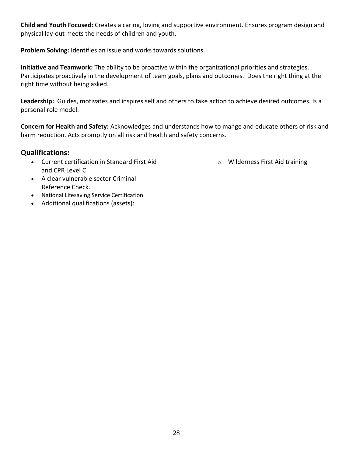**Child and Youth Focused:** Creates a caring, loving and supportive environment. Ensures program design and physical lay-out meets the needs of children and youth.

**Problem Solving:** Identifies an issue and works towards solutions.

**Initiative and Teamwork:** The ability to be proactive within the organizational priorities and strategies. Participates proactively in the development of team goals, plans and outcomes. Does the right thing at the right time without being asked.

**Leadership:** Guides, motivates and inspires self and others to take action to achieve desired outcomes. Is a personal role model.

**Concern for Health and Safety:** Acknowledges and understands how to mange and educate others of risk and harm reduction. Acts promptly on all risk and health and safety concerns.

#### **Qualifications:**

• Current certification in Standard First Aid and CPR Level C

o Wilderness First Aid training

- A clear vulnerable sector Criminal Reference Check.
- National Lifesaving Service Certification
- Additional qualifications (assets):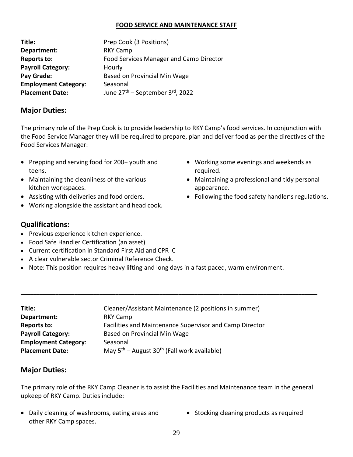#### **FOOD SERVICE AND MAINTENANCE STAFF**

| Title:                      | Prep Cook (3 Positions)                     |
|-----------------------------|---------------------------------------------|
| Department:                 | <b>RKY Camp</b>                             |
| Reports to:                 | Food Services Manager and Camp Director     |
| <b>Payroll Category:</b>    | Hourly                                      |
| Pay Grade:                  | Based on Provincial Min Wage                |
| <b>Employment Category:</b> | Seasonal                                    |
| <b>Placement Date:</b>      | June 27 <sup>th</sup> – September 3rd, 2022 |

#### **Major Duties:**

The primary role of the Prep Cook is to provide leadership to RKY Camp's food services. In conjunction with the Food Service Manager they will be required to prepare, plan and deliver food as per the directives of the Food Services Manager:

- Prepping and serving food for 200+ youth and teens.
- Maintaining the cleanliness of the various kitchen workspaces.
- Assisting with deliveries and food orders.
- Working alongside the assistant and head cook.
- **Qualifications:**
- Previous experience kitchen experience.
- Food Safe Handler Certification (an asset)
- Current certification in Standard First Aid and CPR C
- A clear vulnerable sector Criminal Reference Check.
- Note: This position requires heavy lifting and long days in a fast paced, warm environment.

| Title:                      | Cleaner/Assistant Maintenance (2 positions in summer)        |
|-----------------------------|--------------------------------------------------------------|
| Department:                 | <b>RKY Camp</b>                                              |
| <b>Reports to:</b>          | Facilities and Maintenance Supervisor and Camp Director      |
| <b>Payroll Category:</b>    | Based on Provincial Min Wage                                 |
| <b>Employment Category:</b> | Seasonal                                                     |
| <b>Placement Date:</b>      | May $5^{th}$ – August 30 <sup>th</sup> (Fall work available) |
|                             |                                                              |

#### **Major Duties:**

The primary role of the RKY Camp Cleaner is to assist the Facilities and Maintenance team in the general upkeep of RKY Camp. Duties include:

**\_\_\_\_\_\_\_\_\_\_\_\_\_\_\_\_\_\_\_\_\_\_\_\_\_\_\_\_\_\_\_\_\_\_\_\_\_\_\_\_\_\_\_\_\_\_\_\_\_\_\_\_\_\_\_\_\_\_\_\_\_\_\_\_\_\_\_\_\_\_\_\_\_\_\_\_\_\_\_\_\_\_\_\_\_\_\_\_\_\_\_\_\_\_**

- Daily cleaning of washrooms, eating areas and other RKY Camp spaces.
- Stocking cleaning products as required
- Working some evenings and weekends as required.
- Maintaining a professional and tidy personal appearance.
- Following the food safety handler's regulations.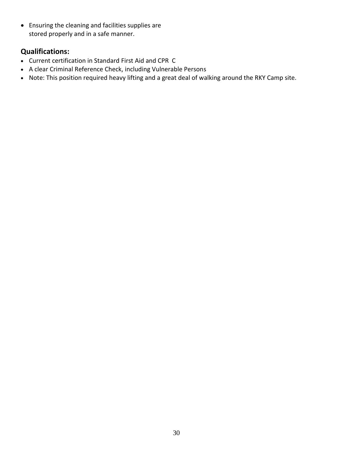• Ensuring the cleaning and facilities supplies are stored properly and in a safe manner.

- Current certification in Standard First Aid and CPR C
- A clear Criminal Reference Check, including Vulnerable Persons
- Note: This position required heavy lifting and a great deal of walking around the RKY Camp site.